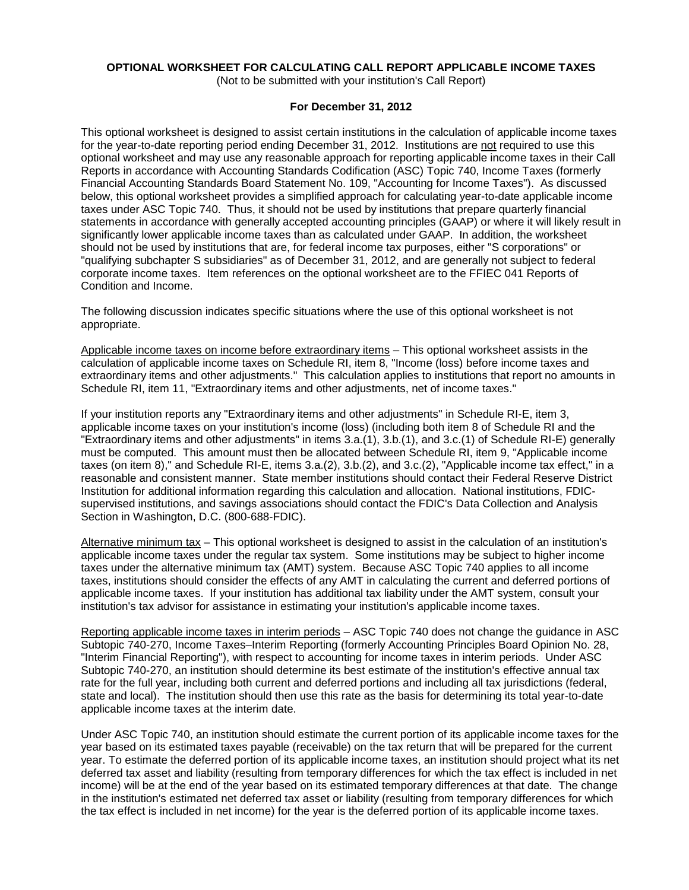# **OPTIONAL WORKSHEET FOR CALCULATING CALL REPORT APPLICABLE INCOME TAXES**

(Not to be submitted with your institution's Call Report)

### **For December 31, 2012**

This optional worksheet is designed to assist certain institutions in the calculation of applicable income taxes for the year-to-date reporting period ending December 31, 2012. Institutions are not required to use this optional worksheet and may use any reasonable approach for reporting applicable income taxes in their Call Reports in accordance with Accounting Standards Codification (ASC) Topic 740, Income Taxes (formerly Financial Accounting Standards Board Statement No. 109, "Accounting for Income Taxes"). As discussed below, this optional worksheet provides a simplified approach for calculating year-to-date applicable income taxes under ASC Topic 740. Thus, it should not be used by institutions that prepare quarterly financial statements in accordance with generally accepted accounting principles (GAAP) or where it will likely result in significantly lower applicable income taxes than as calculated under GAAP. In addition, the worksheet should not be used by institutions that are, for federal income tax purposes, either "S corporations" or "qualifying subchapter S subsidiaries" as of December 31, 2012, and are generally not subject to federal corporate income taxes. Item references on the optional worksheet are to the FFIEC 041 Reports of Condition and Income.

The following discussion indicates specific situations where the use of this optional worksheet is not appropriate.

Applicable income taxes on income before extraordinary items – This optional worksheet assists in the calculation of applicable income taxes on Schedule RI, item 8, "Income (loss) before income taxes and extraordinary items and other adjustments." This calculation applies to institutions that report no amounts in Schedule RI, item 11, "Extraordinary items and other adjustments, net of income taxes."

If your institution reports any "Extraordinary items and other adjustments" in Schedule RI-E, item 3, applicable income taxes on your institution's income (loss) (including both item 8 of Schedule RI and the "Extraordinary items and other adjustments" in items 3.a.(1), 3.b.(1), and 3.c.(1) of Schedule RI-E) generally must be computed. This amount must then be allocated between Schedule RI, item 9, "Applicable income taxes (on item 8)," and Schedule RI-E, items 3.a.(2), 3.b.(2), and 3.c.(2), "Applicable income tax effect," in a reasonable and consistent manner. State member institutions should contact their Federal Reserve District Institution for additional information regarding this calculation and allocation. National institutions, FDICsupervised institutions, and savings associations should contact the FDIC's Data Collection and Analysis Section in Washington, D.C. (800-688-FDIC).

Alternative minimum tax – This optional worksheet is designed to assist in the calculation of an institution's applicable income taxes under the regular tax system. Some institutions may be subject to higher income taxes under the alternative minimum tax (AMT) system. Because ASC Topic 740 applies to all income taxes, institutions should consider the effects of any AMT in calculating the current and deferred portions of applicable income taxes. If your institution has additional tax liability under the AMT system, consult your institution's tax advisor for assistance in estimating your institution's applicable income taxes.

Reporting applicable income taxes in interim periods – ASC Topic 740 does not change the guidance in ASC Subtopic 740-270, Income Taxes–Interim Reporting (formerly Accounting Principles Board Opinion No. 28, "Interim Financial Reporting"), with respect to accounting for income taxes in interim periods. Under ASC Subtopic 740-270, an institution should determine its best estimate of the institution's effective annual tax rate for the full year, including both current and deferred portions and including all tax jurisdictions (federal, state and local). The institution should then use this rate as the basis for determining its total year-to-date applicable income taxes at the interim date.

Under ASC Topic 740, an institution should estimate the current portion of its applicable income taxes for the year based on its estimated taxes payable (receivable) on the tax return that will be prepared for the current year. To estimate the deferred portion of its applicable income taxes, an institution should project what its net deferred tax asset and liability (resulting from temporary differences for which the tax effect is included in net income) will be at the end of the year based on its estimated temporary differences at that date. The change in the institution's estimated net deferred tax asset or liability (resulting from temporary differences for which the tax effect is included in net income) for the year is the deferred portion of its applicable income taxes.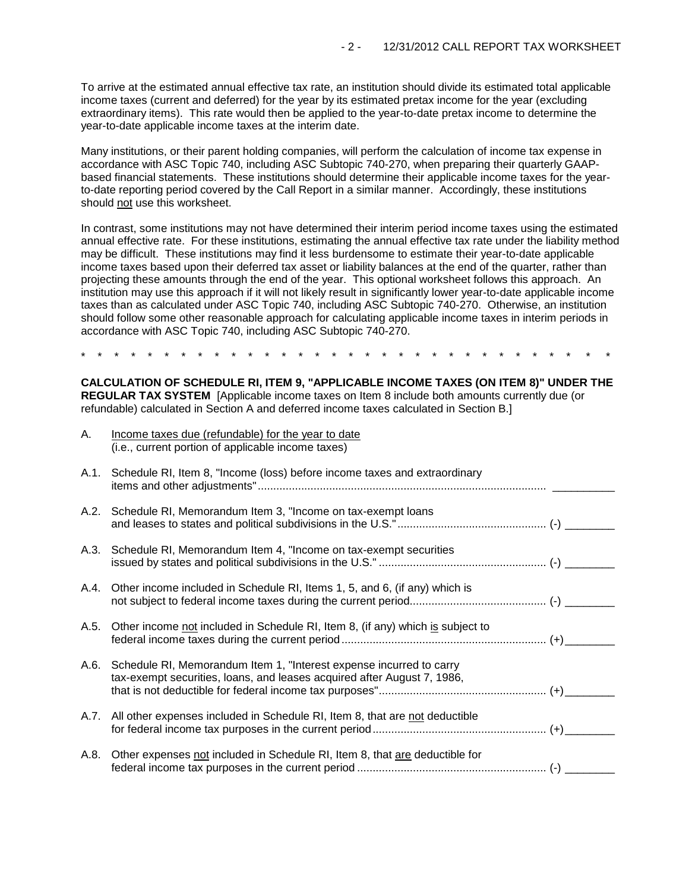To arrive at the estimated annual effective tax rate, an institution should divide its estimated total applicable income taxes (current and deferred) for the year by its estimated pretax income for the year (excluding extraordinary items). This rate would then be applied to the year-to-date pretax income to determine the year-to-date applicable income taxes at the interim date.

Many institutions, or their parent holding companies, will perform the calculation of income tax expense in accordance with ASC Topic 740, including ASC Subtopic 740-270, when preparing their quarterly GAAPbased financial statements. These institutions should determine their applicable income taxes for the yearto-date reporting period covered by the Call Report in a similar manner. Accordingly, these institutions should not use this worksheet.

In contrast, some institutions may not have determined their interim period income taxes using the estimated annual effective rate. For these institutions, estimating the annual effective tax rate under the liability method may be difficult. These institutions may find it less burdensome to estimate their year-to-date applicable income taxes based upon their deferred tax asset or liability balances at the end of the quarter, rather than projecting these amounts through the end of the year. This optional worksheet follows this approach. An institution may use this approach if it will not likely result in significantly lower year-to-date applicable income taxes than as calculated under ASC Topic 740, including ASC Subtopic 740-270. Otherwise, an institution should follow some other reasonable approach for calculating applicable income taxes in interim periods in accordance with ASC Topic 740, including ASC Subtopic 740-270.

\* \* \* \* \* \* \* \* \* \* \* \* \* \* \* \* \* \* \* \* \* \* \* \* \* \* \* \* \* \* \* \*

**CALCULATION OF SCHEDULE RI, ITEM 9, "APPLICABLE INCOME TAXES (ON ITEM 8)" UNDER THE REGULAR TAX SYSTEM** [Applicable income taxes on Item 8 include both amounts currently due (or refundable) calculated in Section A and deferred income taxes calculated in Section B.]

| А.   | Income taxes due (refundable) for the year to date<br>(i.e., current portion of applicable income taxes)                                            |  |
|------|-----------------------------------------------------------------------------------------------------------------------------------------------------|--|
|      | A.1. Schedule RI, Item 8, "Income (loss) before income taxes and extraordinary                                                                      |  |
|      | A.2. Schedule RI, Memorandum Item 3, "Income on tax-exempt loans                                                                                    |  |
|      | A.3. Schedule RI, Memorandum Item 4, "Income on tax-exempt securities                                                                               |  |
|      | A.4. Other income included in Schedule RI, Items 1, 5, and 6, (if any) which is                                                                     |  |
| A.5. | Other income not included in Schedule RI, Item 8, (if any) which is subject to                                                                      |  |
|      | A.6. Schedule RI, Memorandum Item 1, "Interest expense incurred to carry<br>tax-exempt securities, loans, and leases acquired after August 7, 1986, |  |
|      | A.7. All other expenses included in Schedule RI, Item 8, that are not deductible                                                                    |  |
| A.8. | Other expenses not included in Schedule RI, Item 8, that are deductible for                                                                         |  |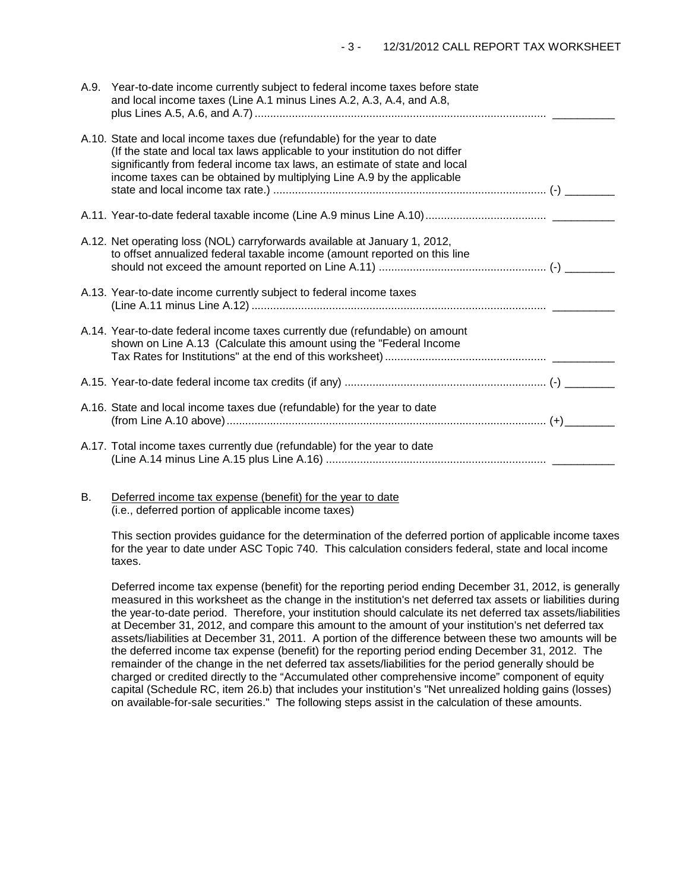| A.9. | Year-to-date income currently subject to federal income taxes before state<br>and local income taxes (Line A.1 minus Lines A.2, A.3, A.4, and A.8,<br>plus Lines A.5, A.6, and A.7) …………………………………………………………………………………………                                                                                            |  |
|------|-------------------------------------------------------------------------------------------------------------------------------------------------------------------------------------------------------------------------------------------------------------------------------------------------------------------|--|
|      | A.10. State and local income taxes due (refundable) for the year to date<br>(If the state and local tax laws applicable to your institution do not differ<br>significantly from federal income tax laws, an estimate of state and local<br>income taxes can be obtained by multiplying Line A.9 by the applicable |  |
|      |                                                                                                                                                                                                                                                                                                                   |  |
|      | A.12. Net operating loss (NOL) carryforwards available at January 1, 2012,<br>to offset annualized federal taxable income (amount reported on this line                                                                                                                                                           |  |
|      | A.13. Year-to-date income currently subject to federal income taxes                                                                                                                                                                                                                                               |  |
|      | A.14. Year-to-date federal income taxes currently due (refundable) on amount<br>shown on Line A.13 (Calculate this amount using the "Federal Income                                                                                                                                                               |  |
|      |                                                                                                                                                                                                                                                                                                                   |  |
|      | A.16. State and local income taxes due (refundable) for the year to date                                                                                                                                                                                                                                          |  |
|      | A.17. Total income taxes currently due (refundable) for the year to date                                                                                                                                                                                                                                          |  |

B. Deferred income tax expense (benefit) for the year to date (i.e., deferred portion of applicable income taxes)

This section provides guidance for the determination of the deferred portion of applicable income taxes for the year to date under ASC Topic 740. This calculation considers federal, state and local income taxes.

Deferred income tax expense (benefit) for the reporting period ending December 31, 2012, is generally measured in this worksheet as the change in the institution's net deferred tax assets or liabilities during the year-to-date period. Therefore, your institution should calculate its net deferred tax assets/liabilities at December 31, 2012, and compare this amount to the amount of your institution's net deferred tax assets/liabilities at December 31, 2011. A portion of the difference between these two amounts will be the deferred income tax expense (benefit) for the reporting period ending December 31, 2012. The remainder of the change in the net deferred tax assets/liabilities for the period generally should be charged or credited directly to the "Accumulated other comprehensive income" component of equity capital (Schedule RC, item 26.b) that includes your institution's "Net unrealized holding gains (losses) on available-for-sale securities." The following steps assist in the calculation of these amounts.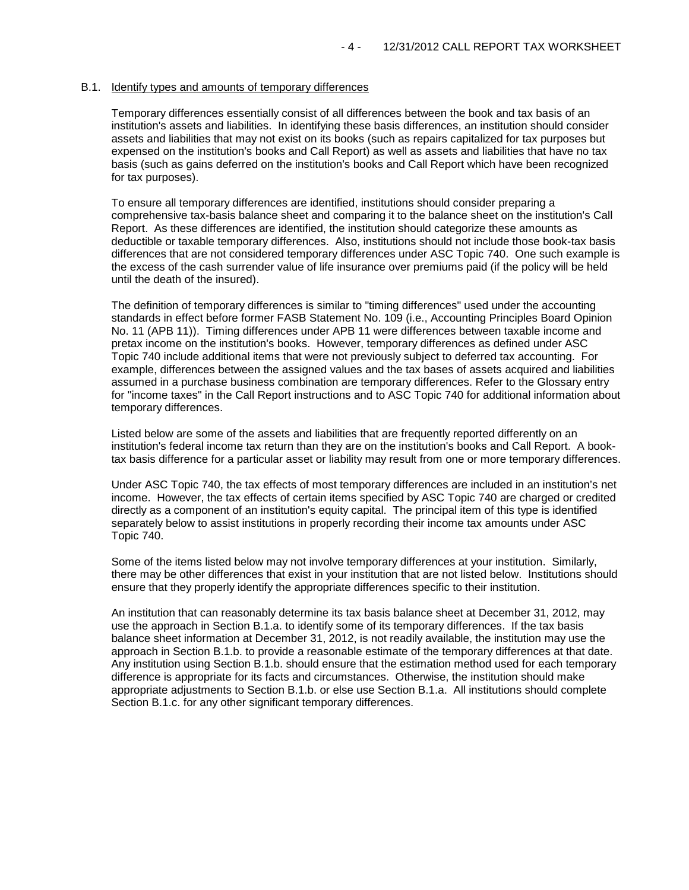### B.1. Identify types and amounts of temporary differences

Temporary differences essentially consist of all differences between the book and tax basis of an institution's assets and liabilities. In identifying these basis differences, an institution should consider assets and liabilities that may not exist on its books (such as repairs capitalized for tax purposes but expensed on the institution's books and Call Report) as well as assets and liabilities that have no tax basis (such as gains deferred on the institution's books and Call Report which have been recognized for tax purposes).

To ensure all temporary differences are identified, institutions should consider preparing a comprehensive tax-basis balance sheet and comparing it to the balance sheet on the institution's Call Report. As these differences are identified, the institution should categorize these amounts as deductible or taxable temporary differences. Also, institutions should not include those book-tax basis differences that are not considered temporary differences under ASC Topic 740. One such example is the excess of the cash surrender value of life insurance over premiums paid (if the policy will be held until the death of the insured).

The definition of temporary differences is similar to "timing differences" used under the accounting standards in effect before former FASB Statement No. 109 (i.e., Accounting Principles Board Opinion No. 11 (APB 11)). Timing differences under APB 11 were differences between taxable income and pretax income on the institution's books. However, temporary differences as defined under ASC Topic 740 include additional items that were not previously subject to deferred tax accounting. For example, differences between the assigned values and the tax bases of assets acquired and liabilities assumed in a purchase business combination are temporary differences. Refer to the Glossary entry for "income taxes" in the Call Report instructions and to ASC Topic 740 for additional information about temporary differences.

Listed below are some of the assets and liabilities that are frequently reported differently on an institution's federal income tax return than they are on the institution's books and Call Report. A booktax basis difference for a particular asset or liability may result from one or more temporary differences.

Under ASC Topic 740, the tax effects of most temporary differences are included in an institution's net income. However, the tax effects of certain items specified by ASC Topic 740 are charged or credited directly as a component of an institution's equity capital. The principal item of this type is identified separately below to assist institutions in properly recording their income tax amounts under ASC Topic 740.

Some of the items listed below may not involve temporary differences at your institution. Similarly, there may be other differences that exist in your institution that are not listed below. Institutions should ensure that they properly identify the appropriate differences specific to their institution.

An institution that can reasonably determine its tax basis balance sheet at December 31, 2012, may use the approach in Section B.1.a. to identify some of its temporary differences. If the tax basis balance sheet information at December 31, 2012, is not readily available, the institution may use the approach in Section B.1.b. to provide a reasonable estimate of the temporary differences at that date. Any institution using Section B.1.b. should ensure that the estimation method used for each temporary difference is appropriate for its facts and circumstances. Otherwise, the institution should make appropriate adjustments to Section B.1.b. or else use Section B.1.a. All institutions should complete Section B.1.c. for any other significant temporary differences.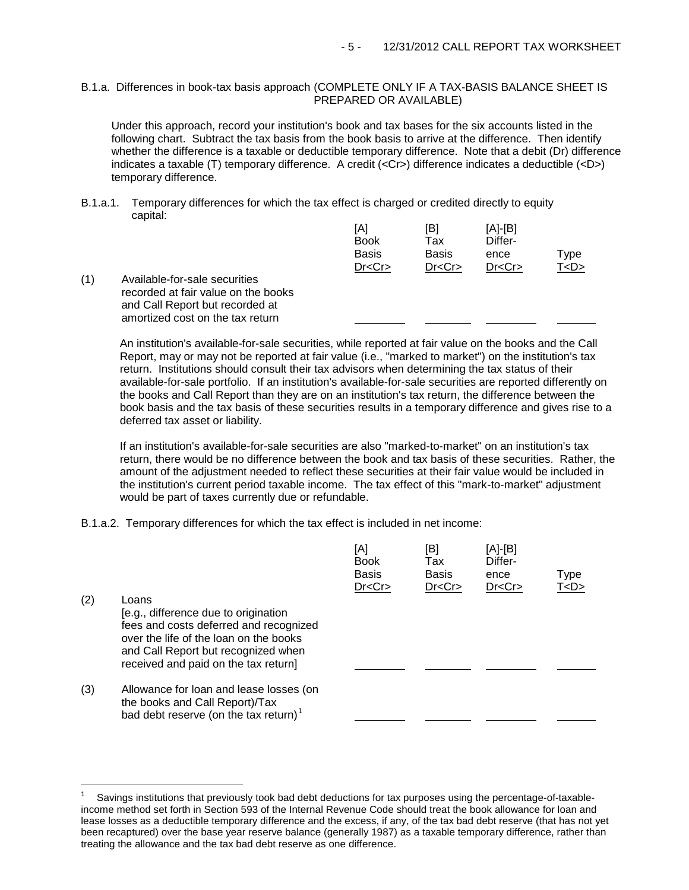## B.1.a. Differences in book-tax basis approach (COMPLETE ONLY IF A TAX-BASIS BALANCE SHEET IS PREPARED OR AVAILABLE)

Under this approach, record your institution's book and tax bases for the six accounts listed in the following chart. Subtract the tax basis from the book basis to arrive at the difference. Then identify whether the difference is a taxable or deductible temporary difference. Note that a debit (Dr) difference indicates a taxable (T) temporary difference. A credit (<Cr>) difference indicates a deductible (<D>) temporary difference.

B.1.a.1. Temporary differences for which the tax effect is charged or credited directly to equity capital:

|     |                                                                                                                                             | [A]<br><b>Book</b><br><b>Basis</b> | [B<br>Tax<br><b>Basis</b> | [A]-[B]<br>Differ-<br>ence | Type    |
|-----|---------------------------------------------------------------------------------------------------------------------------------------------|------------------------------------|---------------------------|----------------------------|---------|
|     |                                                                                                                                             | Dr < Cr                            | Dr < Cr                   | Dr < Cr                    | T < D > |
| (1) | Available-for-sale securities<br>recorded at fair value on the books<br>and Call Report but recorded at<br>amortized cost on the tax return |                                    |                           |                            |         |

An institution's available-for-sale securities, while reported at fair value on the books and the Call Report, may or may not be reported at fair value (i.e., "marked to market") on the institution's tax return. Institutions should consult their tax advisors when determining the tax status of their available-for-sale portfolio. If an institution's available-for-sale securities are reported differently on the books and Call Report than they are on an institution's tax return, the difference between the book basis and the tax basis of these securities results in a temporary difference and gives rise to a deferred tax asset or liability.

If an institution's available-for-sale securities are also "marked-to-market" on an institution's tax return, there would be no difference between the book and tax basis of these securities. Rather, the amount of the adjustment needed to reflect these securities at their fair value would be included in the institution's current period taxable income. The tax effect of this "mark-to-market" adjustment would be part of taxes currently due or refundable.

B.1.a.2. Temporary differences for which the tax effect is included in net income:

÷,

|     |                                                                                                                                                                                                                  | [A]<br><b>Book</b><br><b>Basis</b><br>Dr < Cr | [B]<br>Tax<br>Basis<br>Dr < Cr | [A]-[B]<br>Differ-<br>ence<br>Dr < Cr | Type<br>T < D > |
|-----|------------------------------------------------------------------------------------------------------------------------------------------------------------------------------------------------------------------|-----------------------------------------------|--------------------------------|---------------------------------------|-----------------|
| (2) | Loans<br>[e.g., difference due to origination<br>fees and costs deferred and recognized<br>over the life of the loan on the books<br>and Call Report but recognized when<br>received and paid on the tax return] |                                               |                                |                                       |                 |
| (3) | Allowance for loan and lease losses (on<br>the books and Call Report)/Tax<br>bad debt reserve (on the tax return) <sup>1</sup>                                                                                   |                                               |                                |                                       |                 |

<span id="page-4-0"></span><sup>1</sup> Savings institutions that previously took bad debt deductions for tax purposes using the percentage-of-taxableincome method set forth in Section 593 of the Internal Revenue Code should treat the book allowance for loan and lease losses as a deductible temporary difference and the excess, if any, of the tax bad debt reserve (that has not yet been recaptured) over the base year reserve balance (generally 1987) as a taxable temporary difference, rather than treating the allowance and the tax bad debt reserve as one difference.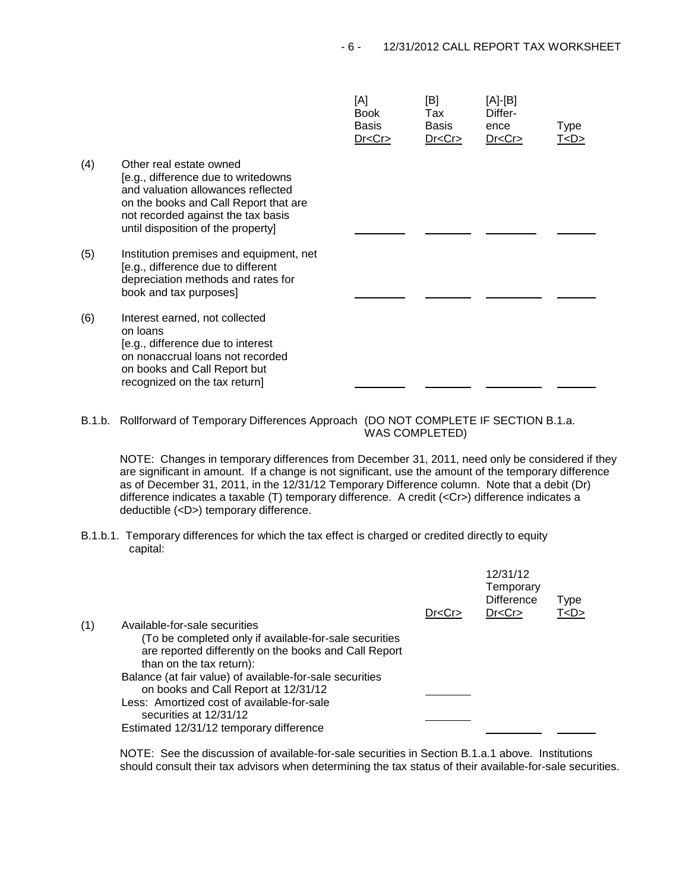$[AA]$ 

 $[DB]$ 

|     |                                                                                                                                                                                                                           | [A]<br><b>Book</b><br>Basis<br>Dr < Cr | l⊡]<br>Tax<br>Basis<br>Dr < Cr | [A]-[D]<br>Differ-<br>ence<br>Dr < Cr | Type<br>T <d></d> |
|-----|---------------------------------------------------------------------------------------------------------------------------------------------------------------------------------------------------------------------------|----------------------------------------|--------------------------------|---------------------------------------|-------------------|
| (4) | Other real estate owned<br>[e.g., difference due to writedowns<br>and valuation allowances reflected<br>on the books and Call Report that are<br>not recorded against the tax basis<br>until disposition of the property] |                                        |                                |                                       |                   |
| (5) | Institution premises and equipment, net<br>[e.g., difference due to different<br>depreciation methods and rates for<br>book and tax purposes]                                                                             |                                        |                                |                                       |                   |
| (6) | Interest earned, not collected<br>on loans<br>[e.g., difference due to interest<br>on nonaccrual loans not recorded<br>on books and Call Report but<br>recognized on the tax return]                                      |                                        |                                |                                       |                   |

 $\overline{A}$ 

B.1.b. Rollforward of Temporary Differences Approach (DO NOT COMPLETE IF SECTION B.1.a. WAS COMPLETED)

NOTE: Changes in temporary differences from December 31, 2011, need only be considered if they are significant in amount. If a change is not significant, use the amount of the temporary difference as of December 31, 2011, in the 12/31/12 Temporary Difference column. Note that a debit (Dr) difference indicates a taxable (T) temporary difference. A credit (<Cr>) difference indicates a deductible (<D>) temporary difference.

B.1.b.1. Temporary differences for which the tax effect is charged or credited directly to equity capital:

|     |                                                                                                                                             | Dr < Cr | 12/31/12<br>Temporary<br><b>Difference</b><br>Dr < Cr | <b>Type</b><br>T < D > |  |
|-----|---------------------------------------------------------------------------------------------------------------------------------------------|---------|-------------------------------------------------------|------------------------|--|
| (1) | Available-for-sale securities                                                                                                               |         |                                                       |                        |  |
|     | (To be completed only if available-for-sale securities<br>are reported differently on the books and Call Report<br>than on the tax return): |         |                                                       |                        |  |
|     | Balance (at fair value) of available-for-sale securities                                                                                    |         |                                                       |                        |  |
|     | on books and Call Report at 12/31/12                                                                                                        |         |                                                       |                        |  |
|     | Less: Amortized cost of available-for-sale                                                                                                  |         |                                                       |                        |  |
|     | securities at 12/31/12                                                                                                                      |         |                                                       |                        |  |
|     | Estimated 12/31/12 temporary difference                                                                                                     |         |                                                       |                        |  |

NOTE: See the discussion of available-for-sale securities in Section B.1.a.1 above. Institutions should consult their tax advisors when determining the tax status of their available-for-sale securities.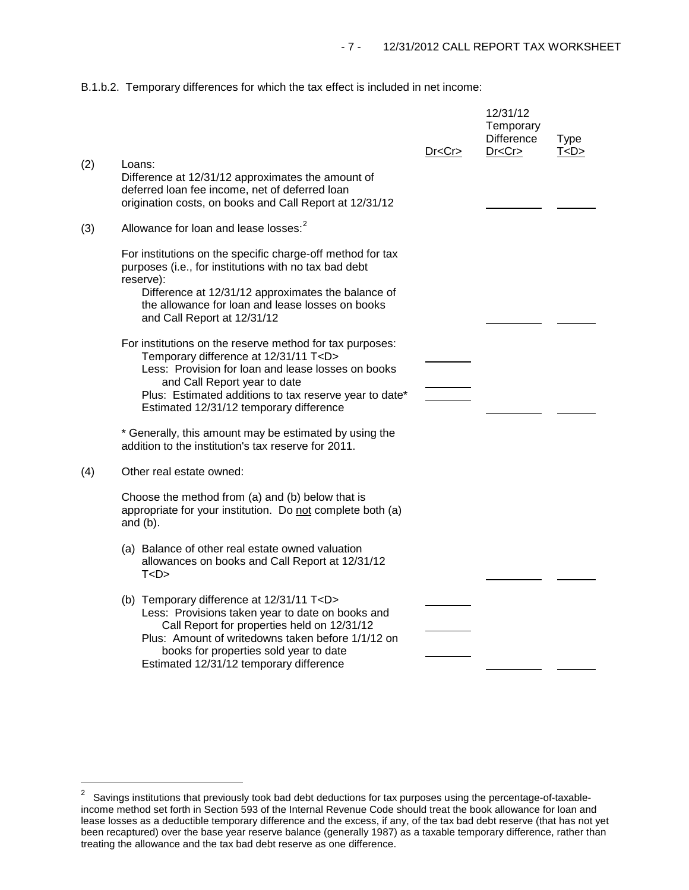B.1.b.2. Temporary differences for which the tax effect is included in net income:

|     |                                                                                                                                                                                                                                                                                                       | Dr <cr></cr> | 12/31/12<br>Temporary<br><b>Difference</b><br>Dr < Cr | <b>Type</b><br>T < D > |
|-----|-------------------------------------------------------------------------------------------------------------------------------------------------------------------------------------------------------------------------------------------------------------------------------------------------------|--------------|-------------------------------------------------------|------------------------|
| (2) | Loans:<br>Difference at 12/31/12 approximates the amount of<br>deferred loan fee income, net of deferred loan<br>origination costs, on books and Call Report at 12/31/12                                                                                                                              |              |                                                       |                        |
| (3) | Allowance for loan and lease losses: <sup>2</sup>                                                                                                                                                                                                                                                     |              |                                                       |                        |
|     | For institutions on the specific charge-off method for tax<br>purposes (i.e., for institutions with no tax bad debt<br>reserve):                                                                                                                                                                      |              |                                                       |                        |
|     | Difference at 12/31/12 approximates the balance of<br>the allowance for loan and lease losses on books<br>and Call Report at 12/31/12                                                                                                                                                                 |              |                                                       |                        |
|     | For institutions on the reserve method for tax purposes:<br>Temporary difference at 12/31/11 T <d><br/>Less: Provision for loan and lease losses on books<br/>and Call Report year to date<br/>Plus: Estimated additions to tax reserve year to date*<br/>Estimated 12/31/12 temporary difference</d> |              |                                                       |                        |
|     | * Generally, this amount may be estimated by using the<br>addition to the institution's tax reserve for 2011.                                                                                                                                                                                         |              |                                                       |                        |
| (4) | Other real estate owned:                                                                                                                                                                                                                                                                              |              |                                                       |                        |
|     | Choose the method from (a) and (b) below that is<br>appropriate for your institution. Do not complete both (a)<br>and $(b)$ .                                                                                                                                                                         |              |                                                       |                        |
|     | (a) Balance of other real estate owned valuation<br>allowances on books and Call Report at 12/31/12<br>T < D >                                                                                                                                                                                        |              |                                                       |                        |
|     | (b) Temporary difference at 12/31/11 T <d><br/>Less: Provisions taken year to date on books and<br/>Call Report for properties held on 12/31/12<br/>Plus: Amount of writedowns taken before 1/1/12 on<br/>books for properties sold year to date<br/>Estimated 12/31/12 temporary difference</d>      |              |                                                       |                        |

<span id="page-6-0"></span> $\overline{\mathbf{c}}$ 2 Savings institutions that previously took bad debt deductions for tax purposes using the percentage-of-taxableincome method set forth in Section 593 of the Internal Revenue Code should treat the book allowance for loan and lease losses as a deductible temporary difference and the excess, if any, of the tax bad debt reserve (that has not yet been recaptured) over the base year reserve balance (generally 1987) as a taxable temporary difference, rather than treating the allowance and the tax bad debt reserve as one difference.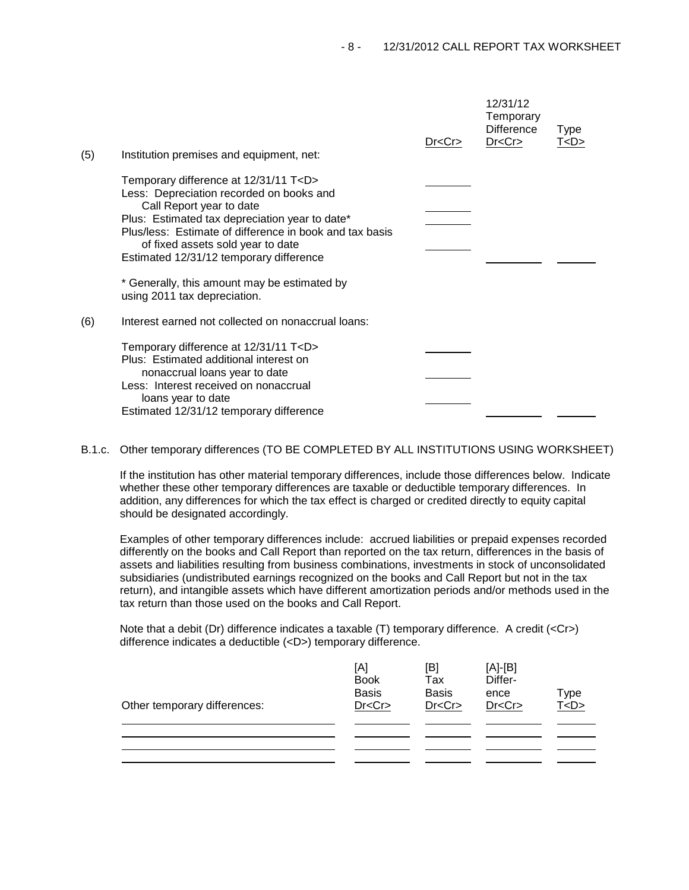| (5) | Institution premises and equipment, net:                                                                                                                                                                                                                                                                              | Dr < Cr | 12/31/12<br>Temporary<br><b>Difference</b><br>Dr < Cr | Type<br>T < D > |  |
|-----|-----------------------------------------------------------------------------------------------------------------------------------------------------------------------------------------------------------------------------------------------------------------------------------------------------------------------|---------|-------------------------------------------------------|-----------------|--|
|     | Temporary difference at 12/31/11 T <d><br/>Less: Depreciation recorded on books and<br/>Call Report year to date<br/>Plus: Estimated tax depreciation year to date*<br/>Plus/less: Estimate of difference in book and tax basis<br/>of fixed assets sold year to date<br/>Estimated 12/31/12 temporary difference</d> |         |                                                       |                 |  |
|     | * Generally, this amount may be estimated by<br>using 2011 tax depreciation.                                                                                                                                                                                                                                          |         |                                                       |                 |  |
| (6) | Interest earned not collected on nonaccrual loans:                                                                                                                                                                                                                                                                    |         |                                                       |                 |  |
|     | Temporary difference at 12/31/11 T <d><br/>Plus: Estimated additional interest on<br/>nonaccrual loans year to date<br/>Less: Interest received on nonaccrual<br/>loans year to date<br/>Estimated 12/31/12 temporary difference</d>                                                                                  |         |                                                       |                 |  |

B.1.c. Other temporary differences (TO BE COMPLETED BY ALL INSTITUTIONS USING WORKSHEET)

If the institution has other material temporary differences, include those differences below. Indicate whether these other temporary differences are taxable or deductible temporary differences. In addition, any differences for which the tax effect is charged or credited directly to equity capital should be designated accordingly.

Examples of other temporary differences include: accrued liabilities or prepaid expenses recorded differently on the books and Call Report than reported on the tax return, differences in the basis of assets and liabilities resulting from business combinations, investments in stock of unconsolidated subsidiaries (undistributed earnings recognized on the books and Call Report but not in the tax return), and intangible assets which have different amortization periods and/or methods used in the tax return than those used on the books and Call Report.

Note that a debit (Dr) difference indicates a taxable (T) temporary difference. A credit (<Cr>> difference indicates a deductible (<D>) temporary difference.

| Other temporary differences: | [A]<br><b>Book</b><br><b>Basis</b><br>Dr < Cr | [B]<br>Tax<br><b>Basis</b><br>Dr < Cr | $[A]-[B]$<br>Differ-<br>ence<br>Dr < Cr | Type<br>T <sub>2</sub> |
|------------------------------|-----------------------------------------------|---------------------------------------|-----------------------------------------|------------------------|
|                              |                                               |                                       |                                         |                        |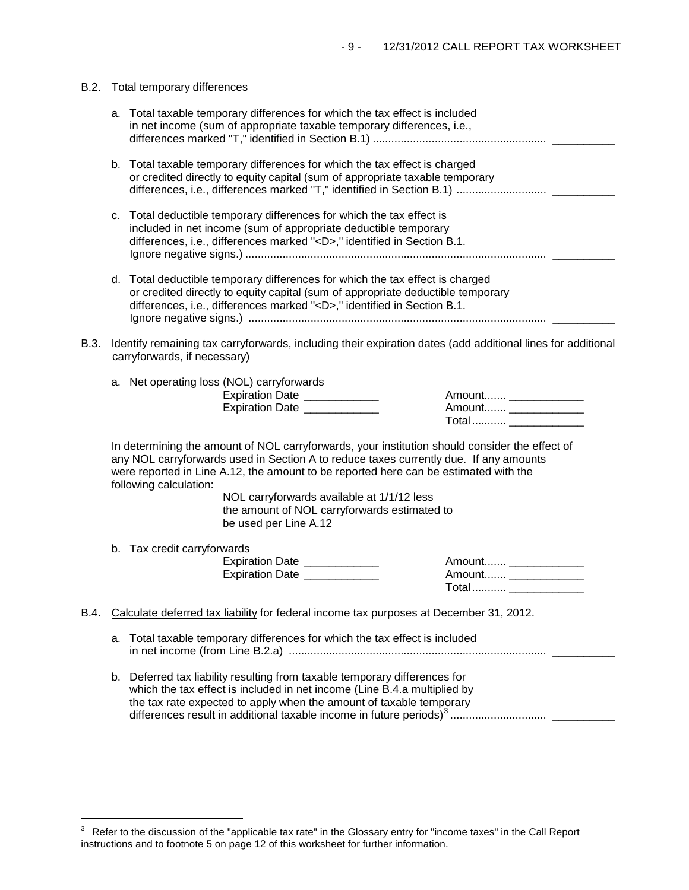|      |    | B.2. Total temporary differences                                                                                                                                                                                                                                                                          |
|------|----|-----------------------------------------------------------------------------------------------------------------------------------------------------------------------------------------------------------------------------------------------------------------------------------------------------------|
|      |    | a. Total taxable temporary differences for which the tax effect is included<br>in net income (sum of appropriate taxable temporary differences, i.e.,                                                                                                                                                     |
|      |    | b. Total taxable temporary differences for which the tax effect is charged<br>or credited directly to equity capital (sum of appropriate taxable temporary                                                                                                                                                |
|      | c. | Total deductible temporary differences for which the tax effect is<br>included in net income (sum of appropriate deductible temporary<br>differences, i.e., differences marked " <d>," identified in Section B.1.</d>                                                                                     |
|      |    | d. Total deductible temporary differences for which the tax effect is charged<br>or credited directly to equity capital (sum of appropriate deductible temporary<br>differences, i.e., differences marked " <d>," identified in Section B.1.</d>                                                          |
| B.3. |    | Identify remaining tax carryforwards, including their expiration dates (add additional lines for additional<br>carryforwards, if necessary)                                                                                                                                                               |
|      |    | a. Net operating loss (NOL) carryforwards<br>Expiration Date ____________<br>Amount ______________<br>Expiration Date _____________<br>Amount ________________<br>Total _______________                                                                                                                   |
|      |    | In determining the amount of NOL carryforwards, your institution should consider the effect of<br>any NOL carryforwards used in Section A to reduce taxes currently due. If any amounts<br>were reported in Line A.12, the amount to be reported here can be estimated with the<br>following calculation: |
|      |    | NOL carryforwards available at 1/1/12 less<br>the amount of NOL carryforwards estimated to<br>be used per Line A.12                                                                                                                                                                                       |
|      |    | b. Tax credit carryforwards<br>Expiration Date ____________<br>Amount _______________<br>Expiration Date _____________<br>Amount ________________<br>Total                                                                                                                                                |
| B.4. |    | Calculate deferred tax liability for federal income tax purposes at December 31, 2012.                                                                                                                                                                                                                    |
|      | a. | Total taxable temporary differences for which the tax effect is included                                                                                                                                                                                                                                  |
|      |    | b. Deferred tax liability resulting from taxable temporary differences for<br>which the tax effect is included in net income (Line B.4.a multiplied by<br>the tax rate expected to apply when the amount of taxable temporary                                                                             |

i<br>I

<span id="page-8-0"></span> $3$  Refer to the discussion of the "applicable tax rate" in the Glossary entry for "income taxes" in the Call Report instructions and to footnote 5 on page 12 of this worksheet for further information.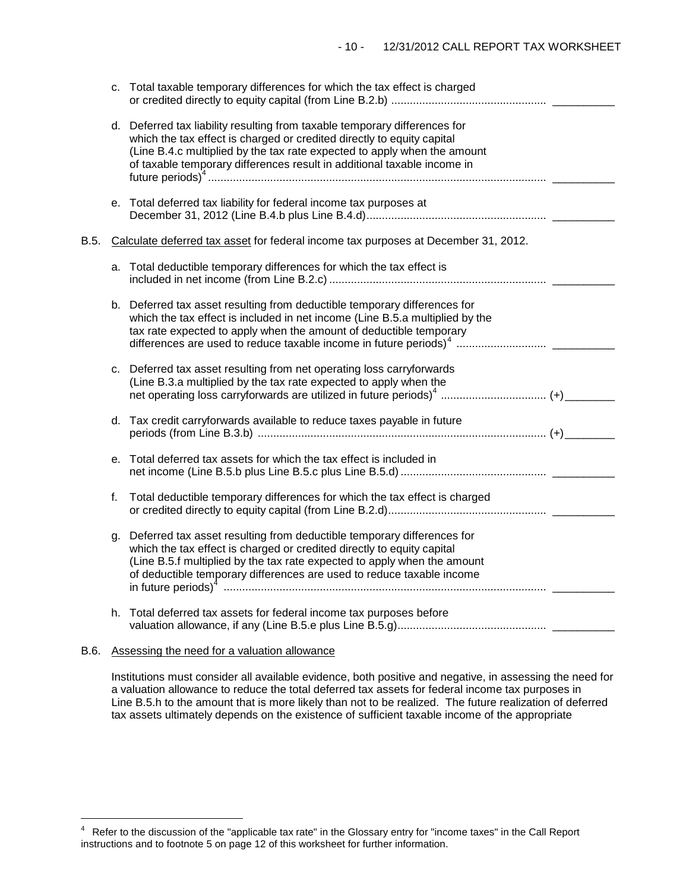|      |    | c. Total taxable temporary differences for which the tax effect is charged                                                                                                                                                                                                                                  |  |
|------|----|-------------------------------------------------------------------------------------------------------------------------------------------------------------------------------------------------------------------------------------------------------------------------------------------------------------|--|
|      |    | d. Deferred tax liability resulting from taxable temporary differences for<br>which the tax effect is charged or credited directly to equity capital<br>(Line B.4.c multiplied by the tax rate expected to apply when the amount<br>of taxable temporary differences result in additional taxable income in |  |
|      |    | e. Total deferred tax liability for federal income tax purposes at                                                                                                                                                                                                                                          |  |
| B.5. |    | Calculate deferred tax asset for federal income tax purposes at December 31, 2012.                                                                                                                                                                                                                          |  |
|      |    | a. Total deductible temporary differences for which the tax effect is                                                                                                                                                                                                                                       |  |
|      |    | b. Deferred tax asset resulting from deductible temporary differences for<br>which the tax effect is included in net income (Line B.5.a multiplied by the<br>tax rate expected to apply when the amount of deductible temporary                                                                             |  |
|      |    | c. Deferred tax asset resulting from net operating loss carryforwards<br>(Line B.3.a multiplied by the tax rate expected to apply when the<br>net operating loss carryforwards are utilized in future periods) <sup>4</sup> (+)                                                                             |  |
|      |    | d. Tax credit carryforwards available to reduce taxes payable in future                                                                                                                                                                                                                                     |  |
|      | е. | Total deferred tax assets for which the tax effect is included in                                                                                                                                                                                                                                           |  |
|      | f. | Total deductible temporary differences for which the tax effect is charged                                                                                                                                                                                                                                  |  |
|      | g. | Deferred tax asset resulting from deductible temporary differences for<br>which the tax effect is charged or credited directly to equity capital<br>(Line B.5.f multiplied by the tax rate expected to apply when the amount<br>of deductible temporary differences are used to reduce taxable income       |  |
|      |    | h. Total deferred tax assets for federal income tax purposes before                                                                                                                                                                                                                                         |  |

## B.6. Assessing the need for a valuation allowance

Institutions must consider all available evidence, both positive and negative, in assessing the need for a valuation allowance to reduce the total deferred tax assets for federal income tax purposes in Line B.5.h to the amount that is more likely than not to be realized. The future realization of deferred tax assets ultimately depends on the existence of sufficient taxable income of the appropriate

<span id="page-9-0"></span> $\overline{a}$ 4 Refer to the discussion of the "applicable tax rate" in the Glossary entry for "income taxes" in the Call Report instructions and to footnote 5 on page 12 of this worksheet for further information.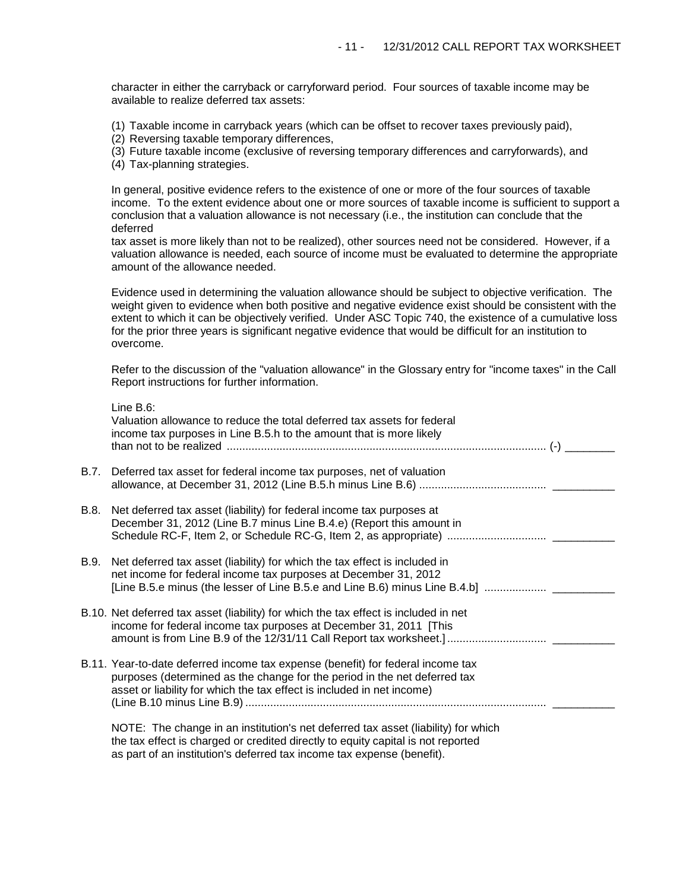character in either the carryback or carryforward period. Four sources of taxable income may be available to realize deferred tax assets:

- (1) Taxable income in carryback years (which can be offset to recover taxes previously paid),
- (2) Reversing taxable temporary differences,
- (3) Future taxable income (exclusive of reversing temporary differences and carryforwards), and
- (4) Tax-planning strategies.

Line B.6:

In general, positive evidence refers to the existence of one or more of the four sources of taxable income. To the extent evidence about one or more sources of taxable income is sufficient to support a conclusion that a valuation allowance is not necessary (i.e., the institution can conclude that the deferred

tax asset is more likely than not to be realized), other sources need not be considered. However, if a valuation allowance is needed, each source of income must be evaluated to determine the appropriate amount of the allowance needed.

Evidence used in determining the valuation allowance should be subject to objective verification. The weight given to evidence when both positive and negative evidence exist should be consistent with the extent to which it can be objectively verified. Under ASC Topic 740, the existence of a cumulative loss for the prior three years is significant negative evidence that would be difficult for an institution to overcome.

Refer to the discussion of the "valuation allowance" in the Glossary entry for "income taxes" in the Call Report instructions for further information.

|      | LINE D.O.<br>Valuation allowance to reduce the total deferred tax assets for federal<br>income tax purposes in Line B.5.h to the amount that is more likely                                                                                     |
|------|-------------------------------------------------------------------------------------------------------------------------------------------------------------------------------------------------------------------------------------------------|
|      | B.7. Deferred tax asset for federal income tax purposes, net of valuation                                                                                                                                                                       |
| B.8. | Net deferred tax asset (liability) for federal income tax purposes at<br>December 31, 2012 (Line B.7 minus Line B.4.e) (Report this amount in                                                                                                   |
| B.9. | Net deferred tax asset (liability) for which the tax effect is included in<br>net income for federal income tax purposes at December 31, 2012                                                                                                   |
|      | B.10. Net deferred tax asset (liability) for which the tax effect is included in net<br>income for federal income tax purposes at December 31, 2011 [This                                                                                       |
|      | B.11. Year-to-date deferred income tax expense (benefit) for federal income tax<br>purposes (determined as the change for the period in the net deferred tax<br>asset or liability for which the tax effect is included in net income)          |
|      | NOTE: The change in an institution's net deferred tax asset (liability) for which<br>the tax effect is charged or credited directly to equity capital is not reported<br>as part of an institution's deferred tax income tax expense (benefit). |